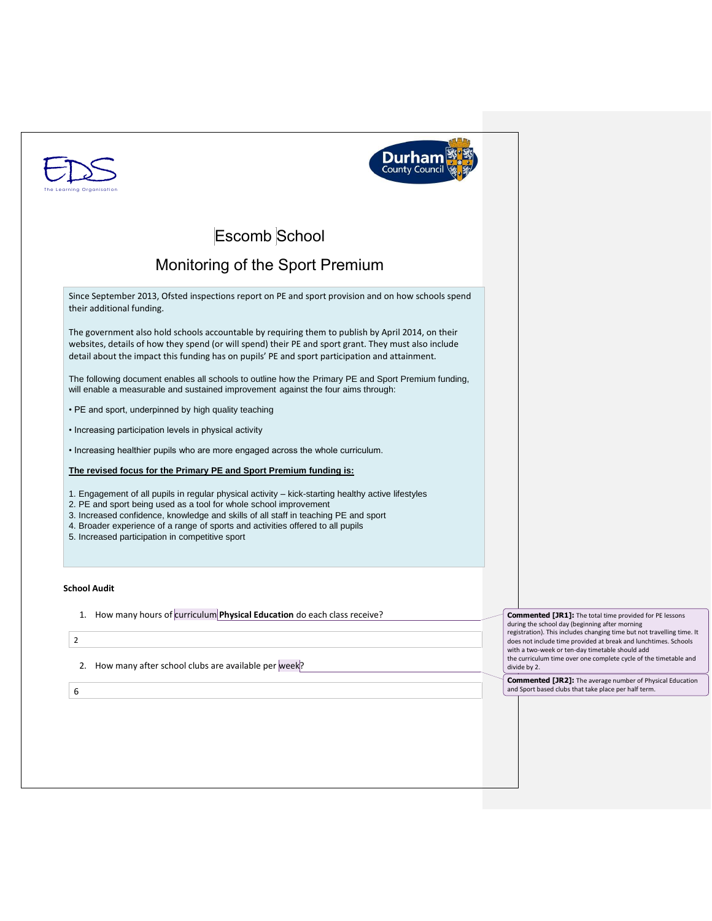| he Learning Organisation                                                                                                                                                                                                                                                                                                                                                                             |                                                                                                                                                                                             |
|------------------------------------------------------------------------------------------------------------------------------------------------------------------------------------------------------------------------------------------------------------------------------------------------------------------------------------------------------------------------------------------------------|---------------------------------------------------------------------------------------------------------------------------------------------------------------------------------------------|
| <b>Escomb School</b>                                                                                                                                                                                                                                                                                                                                                                                 |                                                                                                                                                                                             |
| Monitoring of the Sport Premium                                                                                                                                                                                                                                                                                                                                                                      |                                                                                                                                                                                             |
| Since September 2013, Ofsted inspections report on PE and sport provision and on how schools spend<br>their additional funding.                                                                                                                                                                                                                                                                      |                                                                                                                                                                                             |
| The government also hold schools accountable by requiring them to publish by April 2014, on their<br>websites, details of how they spend (or will spend) their PE and sport grant. They must also include<br>detail about the impact this funding has on pupils' PE and sport participation and attainment.                                                                                          |                                                                                                                                                                                             |
| The following document enables all schools to outline how the Primary PE and Sport Premium funding,<br>will enable a measurable and sustained improvement against the four aims through:                                                                                                                                                                                                             |                                                                                                                                                                                             |
| • PE and sport, underpinned by high quality teaching                                                                                                                                                                                                                                                                                                                                                 |                                                                                                                                                                                             |
| • Increasing participation levels in physical activity                                                                                                                                                                                                                                                                                                                                               |                                                                                                                                                                                             |
| . Increasing healthier pupils who are more engaged across the whole curriculum.                                                                                                                                                                                                                                                                                                                      |                                                                                                                                                                                             |
| The revised focus for the Primary PE and Sport Premium funding is:                                                                                                                                                                                                                                                                                                                                   |                                                                                                                                                                                             |
| 1. Engagement of all pupils in regular physical activity – kick-starting healthy active lifestyles<br>2. PE and sport being used as a tool for whole school improvement<br>3. Increased confidence, knowledge and skills of all staff in teaching PE and sport<br>4. Broader experience of a range of sports and activities offered to all pupils<br>5. Increased participation in competitive sport |                                                                                                                                                                                             |
| <b>School Audit</b>                                                                                                                                                                                                                                                                                                                                                                                  |                                                                                                                                                                                             |
| 1. How many hours of curriculum Physical Education do each class receive?                                                                                                                                                                                                                                                                                                                            | <b>Commented [JR1]:</b> The total time provided for PE lessons                                                                                                                              |
| $\overline{2}$                                                                                                                                                                                                                                                                                                                                                                                       | during the school day (beginning after morning<br>registration). This includes changing time but not travelling time. It<br>does not include time provided at break and lunchtimes. Schools |
|                                                                                                                                                                                                                                                                                                                                                                                                      | with a two-week or ten-day timetable should add<br>the curriculum time over one complete cycle of the timetable and<br>divide by 2.                                                         |
| 2. How many after school clubs are available per week?                                                                                                                                                                                                                                                                                                                                               |                                                                                                                                                                                             |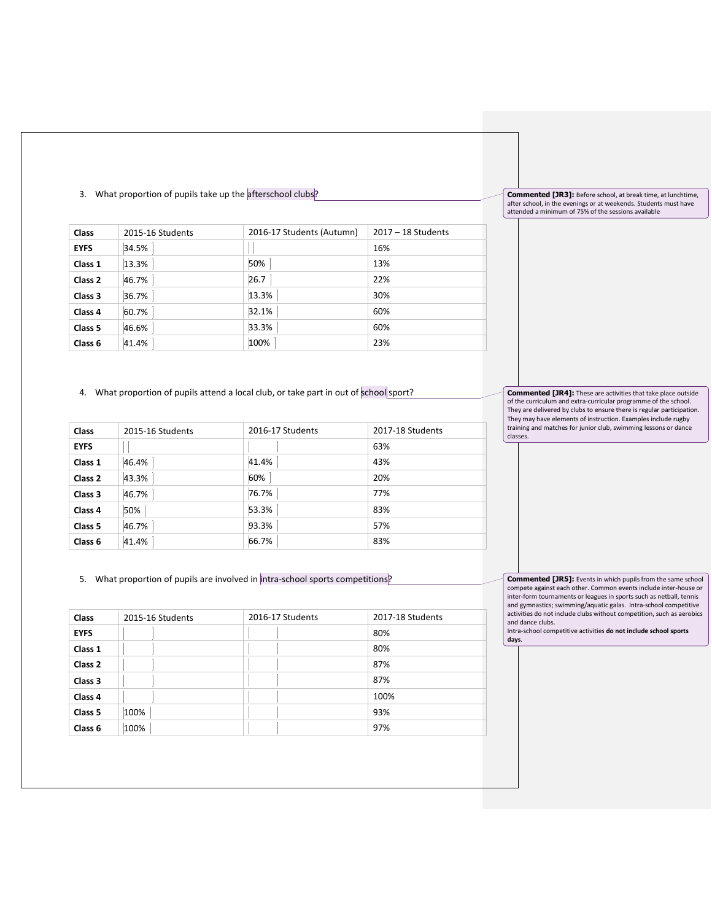| What proportion of pupils take up the afterschool clubs? |  |
|----------------------------------------------------------|--|
|                                                          |  |

| <b>Class</b> | 2015-16 Students | 2016-17 Students (Autumn) | $2017 - 18$ Students |
|--------------|------------------|---------------------------|----------------------|
| <b>EYFS</b>  | 34.5%            |                           | 16%                  |
| Class 1      | 13.3%            | 50%                       | 13%                  |
| Class 2      | 46.7%            | 26.7                      | 22%                  |
| Class 3      | 36.7%            | 13.3%                     | 30%                  |
| Class 4      | 60.7%            | 32.1%                     | 60%                  |
| Class 5      | 46.6%            | 33.3%                     | 60%                  |
| Class 6      | 41.4%            | 100%                      | 23%                  |

4. What proportion of pupils attend a local club, or take part in out of school sport?

| <b>Class</b> | 2015-16 Students | 2016-17 Students | 2017-18 Students |
|--------------|------------------|------------------|------------------|
| <b>EYFS</b>  |                  |                  | 63%              |
| Class 1      | 46.4%            | 41.4%            | 43%              |
| Class 2      | 43.3%            | 60%              | 20%              |
| Class 3      | 46.7%            | 76.7%            | 77%              |
| Class 4      | 50%              | 53.3%            | 83%              |
| Class 5      | 46.7%            | 93.3%            | 57%              |
| Class 6      | 41.4%            | 66.7%            | 83%              |

5. What proportion of pupils are involved in intra-school sports competitions?

| <b>Class</b>       | 2015-16 Students | 2016-17 Students | 2017-18 Students |
|--------------------|------------------|------------------|------------------|
| <b>EYFS</b>        |                  |                  | 80%              |
| Class 1            |                  |                  | 80%              |
| Class 2            |                  |                  | 87%              |
| Class 3            |                  |                  | 87%              |
| Class 4            |                  |                  | 100%             |
| Class 5            | 100%             |                  | 93%              |
| Class <sub>6</sub> | 100%             |                  | 97%              |

**Commented [JR3]:** Before school, at break time, at lunchtime, after school, in the evenings or at weekends. Students must have attended a minimum of 75% of the sessions available

**Commented [JR4]:** These are activities that take place outside of the curriculum and extra-curricular programme of the school. They are delivered by clubs to ensure there is regular participation. They may have elements of instruction. Examples include rugby training and matches for junior club, swimming lessons or dance classes.

**Commented [JR5]:** Events in which pupils from the same school compete against each other. Common events include inter-house or inter-form tournaments or leagues in sports such as netball, tennis and gymnastics; swimming/aquatic galas. Intra-school competitive activities do not include clubs without competition, such as aerobics

and dance clubs. Intra-school competitive activities **do not include school sports days**.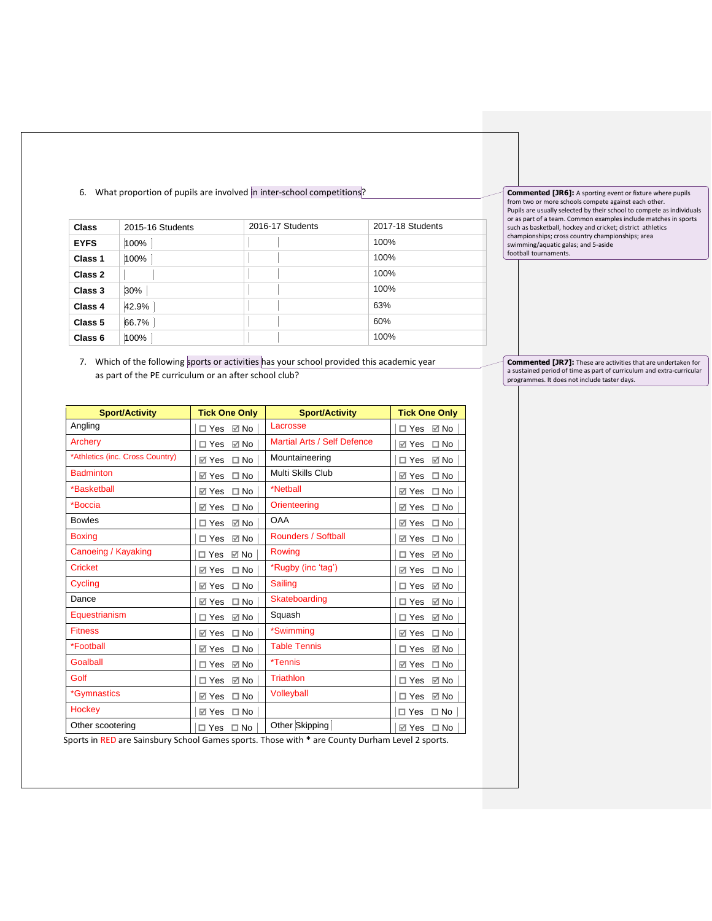| <b>Class</b> | 2015-16 Students | 2016-17 Students | 2017-18 Students |
|--------------|------------------|------------------|------------------|
| <b>EYFS</b>  | 100%             |                  | 100%             |
| Class 1      | 100%             |                  | 100%             |
| Class 2      |                  |                  | 100%             |
| Class 3      | 30%              |                  | 100%             |
| Class 4      | 42.9%            |                  | 63%              |
| Class 5      | 66.7%            |                  | 60%              |
| Class 6      | 100%             |                  | 100%             |

## 6. What proportion of pupils are involved in inter-school competitions?

**Commented [JR6]:** A sporting event or fixture where pupils from two or more schools compete against each other. Pupils are usually selected by their school to compete as individuals or as part of a team. Common examples include matches in sports such as basketball, hockey and cricket; district athletics championships; cross country championships; area swimming/aquatic galas; and 5-aside football tournaments.

7. Which of the following sports or activities has your school provided this academic year as part of the PE curriculum or an after school club?

| <b>Sport/Activity</b>           | <b>Tick One Only</b>            | <b>Sport/Activity</b>              | <b>Tick One Only</b>            |
|---------------------------------|---------------------------------|------------------------------------|---------------------------------|
| Angling                         | $\boxtimes$ No<br>п.<br>Yes     | Lacrosse                           | $\boxtimes$ No<br>$\Box$ Yes    |
| Archery                         | $\boxtimes$ No<br>$\Box$ Yes    | <b>Martial Arts / Self Defence</b> | $\square$ No<br><b>⊠</b> Yes    |
| *Athletics (inc. Cross Country) | <b>⊠</b> Yes<br>$\Box$ No       | Mountaineering                     | $\boxtimes$ No<br>$\Box$ Yes    |
| <b>Badminton</b>                | <b>⊠</b> Yes<br>$\Box$ No       | Multi Skills Club                  | <b>⊠</b> Yes<br>$\Box$ No       |
| *Basketball                     | <b>⊠</b> Yes<br>$\Box$ No       | *Netball                           | <b>⊠</b> Yes<br>$\Box$ No       |
| *Boccia                         | <b>⊠</b> Yes<br>$\square$ No    | Orienteering                       | <b>⊠</b> Yes<br>$\square$ No    |
| <b>Bowles</b>                   | $\boxtimes$ No<br>□ Yes         | <b>OAA</b>                         | ⊠ Yes<br>$\square$ No           |
| <b>Boxing</b>                   | $\boxtimes$ No<br>$\square$ Yes | Rounders / Softball                | <b>⊠</b> Yes<br>$\square$ No    |
| Canoeing / Kayaking             | ⊠ No<br>$\square$ Yes           | Rowing                             | $\boxtimes$ No<br>$\Box$ Yes    |
| Cricket                         | <b>⊠</b> Yes<br>$\Box$ No       | *Rugby (inc 'tag')                 | $\square$ No<br><b>⊠</b> Yes    |
| Cycling                         | $\Box$ No<br><b>⊠</b> Yes       | Sailing                            | ⊠ No<br>$\Box$ Yes              |
| Dance                           | $\Box$ No<br><b>⊠</b> Yes       | Skateboarding                      | ⊠ No<br>$\square$ Yes           |
| Equestrianism                   | $\boxtimes$ No<br>□ Yes         | Squash                             | $\boxtimes$ No<br>$\Box$ Yes    |
| <b>Fitness</b>                  | <b>⊠</b> Yes<br>$\Box$ No       | *Swimming                          | <b>⊠</b> Yes<br>$\Box$ No       |
| *Football                       | $\square$ No<br>⊠ Yes           | <b>Table Tennis</b>                | $\boxtimes$ No<br>$\square$ Yes |
| Goalball                        | $\boxtimes$ No<br>$\square$ Yes | *Tennis                            | <b>⊠</b> Yes<br>$\square$ No    |
| Golf                            | $\boxtimes$ No<br>$\square$ Yes | Triathlon                          | ⊠ No<br>$\square$ Yes           |
| <i><b>*Gymnastics</b></i>       | <b>⊠</b> Yes<br>$\Box$ No       | Volleyball                         | ⊠ No<br>$\Box$ Yes              |
| Hockey                          | <b>⊠</b> Yes<br>$\Box$ No       |                                    | $\square$ Yes<br>$\square$ No   |
| Other scootering                | $\square$ Yes<br>$\Box$ No      | Other Skipping                     | <b>⊠</b> Yes<br>$\square$ No    |

**Commented [JR7]:** These are activities that are undertaken for a sustained period of time as part of curriculum and extra-curricular programmes. It does not include taster days.

Sports in RED are Sainsbury School Games sports. Those with **\*** are County Durham Level 2 sports.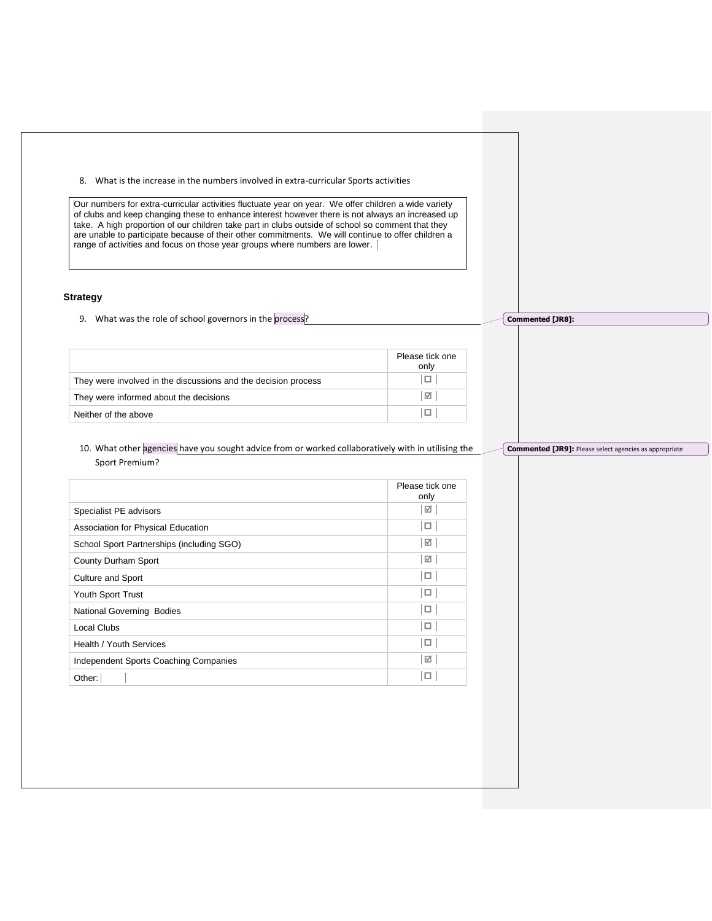8. What is the increase in the numbers involved in extra-curricular Sports activities

Our numbers for extra-curricular activities fluctuate year on year. We offer children a wide variety of clubs and keep changing these to enhance interest however there is not always an increased up take. A high proportion of our children take part in clubs outside of school so comment that they are unable to participate because of their other commitments. We will continue to offer children a range of activities and focus on those year groups where numbers are lower.

### **Strategy**

9. What was the role of school governors in the process?

Please tick one only They were involved in the discussions and the decision process  $\Box$ They were informed about the decisions  $\boxed{\boxtimes}$ Neither of the above  $[\Box]$ 

10. What other agencies have you sought advice from or worked collaboratively with in utilising the Sport Premium?

|                                           | Please tick one<br>only |
|-------------------------------------------|-------------------------|
| Specialist PE advisors                    | ☑                       |
| Association for Physical Education        | $\Box$                  |
| School Sport Partnerships (including SGO) | $\boxtimes$             |
| County Durham Sport                       | $\boxtimes$             |
| <b>Culture and Sport</b>                  | $\Box$                  |
| Youth Sport Trust                         | $\Box$                  |
| <b>National Governing Bodies</b>          | $\Box$                  |
| Local Clubs                               | $\Box$                  |
| Health / Youth Services                   | $\Box$                  |
| Independent Sports Coaching Companies     | $\boxtimes$             |
| Other:                                    |                         |

**Commented [JR8]:** 

**Commented [JR9]:** Please select agencies as appropriate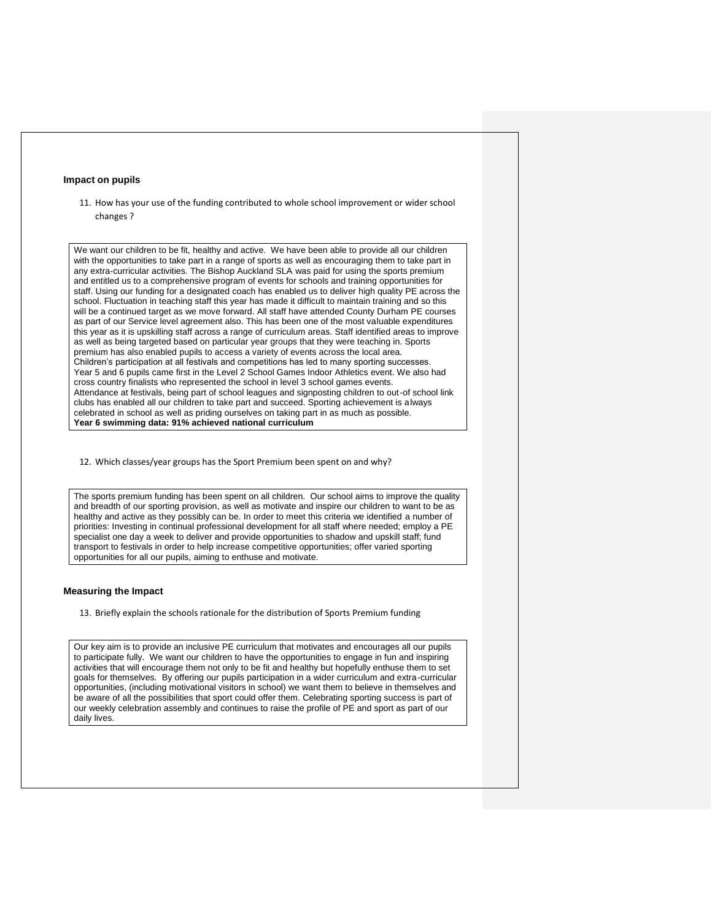#### **Impact on pupils**

11. How has your use of the funding contributed to whole school improvement or wider school changes ?

We want our children to be fit, healthy and active. We have been able to provide all our children with the opportunities to take part in a range of sports as well as encouraging them to take part in any extra-curricular activities. The Bishop Auckland SLA was paid for using the sports premium and entitled us to a comprehensive program of events for schools and training opportunities for staff. Using our funding for a designated coach has enabled us to deliver high quality PE across the school. Fluctuation in teaching staff this year has made it difficult to maintain training and so this will be a continued target as we move forward. All staff have attended County Durham PE courses as part of our Service level agreement also. This has been one of the most valuable expenditures this year as it is upskilling staff across a range of curriculum areas. Staff identified areas to improve as well as being targeted based on particular year groups that they were teaching in. Sports premium has also enabled pupils to access a variety of events across the local area. Children's participation at all festivals and competitions has led to many sporting successes. Year 5 and 6 pupils came first in the Level 2 School Games Indoor Athletics event. We also had cross country finalists who represented the school in level 3 school games events. Attendance at festivals, being part of school leagues and signposting children to out-of school link clubs has enabled all our children to take part and succeed. Sporting achievement is always celebrated in school as well as priding ourselves on taking part in as much as possible. **Year 6 swimming data: 91% achieved national curriculum**

12. Which classes/year groups has the Sport Premium been spent on and why?

The sports premium funding has been spent on all children. Our school aims to improve the quality and breadth of our sporting provision, as well as motivate and inspire our children to want to be as healthy and active as they possibly can be. In order to meet this criteria we identified a number of priorities: Investing in continual professional development for all staff where needed; employ a PE specialist one day a week to deliver and provide opportunities to shadow and upskill staff; fund transport to festivals in order to help increase competitive opportunities; offer varied sporting opportunities for all our pupils, aiming to enthuse and motivate.

#### **Measuring the Impact**

13. Briefly explain the schools rationale for the distribution of Sports Premium funding

Our key aim is to provide an inclusive PE curriculum that motivates and encourages all our pupils to participate fully. We want our children to have the opportunities to engage in fun and inspiring activities that will encourage them not only to be fit and healthy but hopefully enthuse them to set goals for themselves. By offering our pupils participation in a wider curriculum and extra-curricular opportunities, (including motivational visitors in school) we want them to believe in themselves and be aware of all the possibilities that sport could offer them. Celebrating sporting success is part of our weekly celebration assembly and continues to raise the profile of PE and sport as part of our daily lives.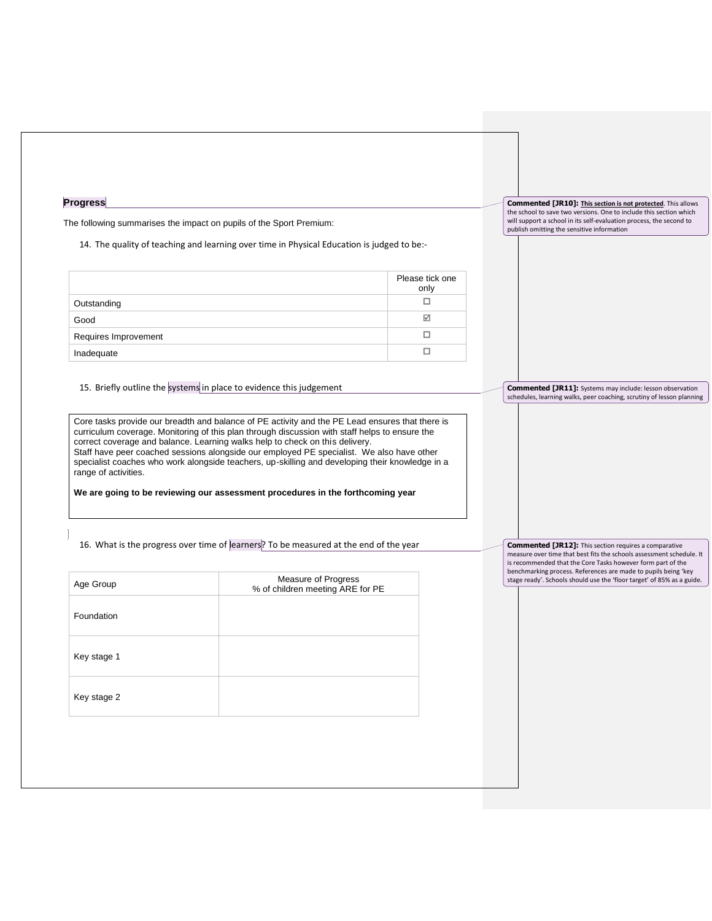| ı<br>ļ |  |
|--------|--|
|--------|--|

The following summarises the impact on pupils of the Sport Premium:

14. The quality of teaching and learning over time in Physical Education is judged to be:-

|                      | Please tick one<br>only |
|----------------------|-------------------------|
| Outstanding          |                         |
| Good                 | ☑                       |
| Requires Improvement |                         |
| Inadequate           |                         |

15. Briefly outline the systems in place to evidence this judgement

Core tasks provide our breadth and balance of PE activity and the PE Lead ensures that there is curriculum coverage. Monitoring of this plan through discussion with staff helps to ensure the correct coverage and balance. Learning walks help to check on this delivery. Staff have peer coached sessions alongside our employed PE specialist. We also have other specialist coaches who work alongside teachers, up-skilling and developing their knowledge in a range of activities.

**We are going to be reviewing our assessment procedures in the forthcoming year**

16. What is the progress over time of learners? To be measured at the end of the year

| Age Group   | Measure of Progress<br>% of children meeting ARE for PE |
|-------------|---------------------------------------------------------|
| Foundation  |                                                         |
| Key stage 1 |                                                         |
| Key stage 2 |                                                         |

**Commented [JR10]: This section is not protected**. This allows the school to save two versions. One to include this section which will support a school in its self-evaluation process, the second to publish omitting the sensitive information

**Commented [JR11]:** Systems may include: lesson observation schedules, learning walks, peer coaching, scrutiny of lesson planning

**Commented [JR12]:** This section requires a comparative measure over time that best fits the schools assessment schedule. It is recommended that the Core Tasks however form part of the benchmarking process. References are made to pupils being 'key stage ready'. Schools should use the 'floor target' of 85% as a guide.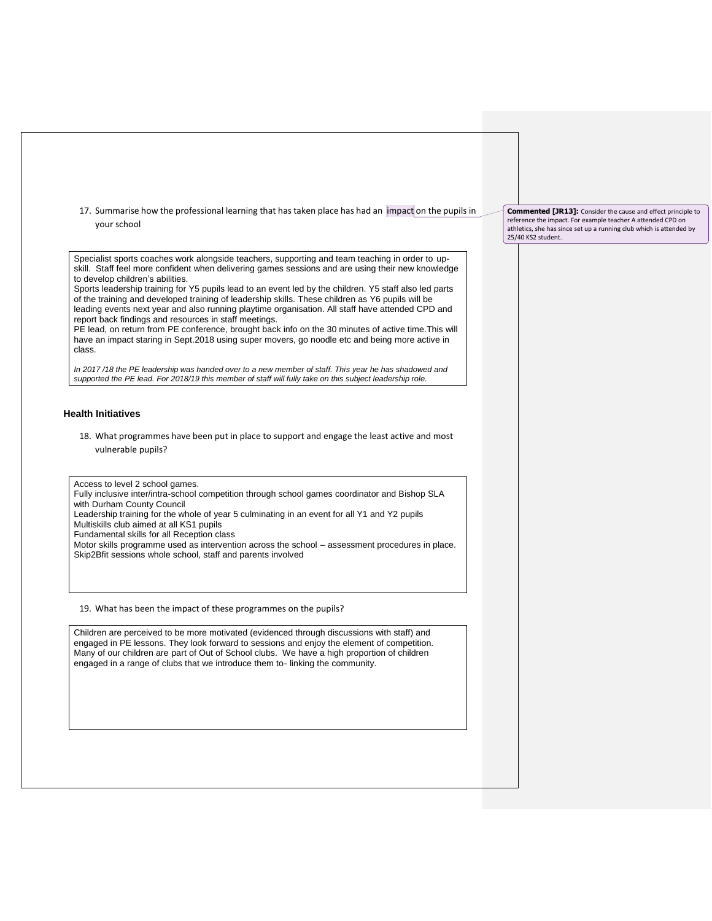17. Summarise how the professional learning that has taken place has had an impact on the pupils in your school

Specialist sports coaches work alongside teachers, supporting and team teaching in order to upskill. Staff feel more confident when delivering games sessions and are using their new knowledge to develop children's abilities.

Sports leadership training for Y5 pupils lead to an event led by the children. Y5 staff also led parts of the training and developed training of leadership skills. These children as Y6 pupils will be leading events next year and also running playtime organisation. All staff have attended CPD and report back findings and resources in staff meetings.

PE lead, on return from PE conference, brought back info on the 30 minutes of active time.This will have an impact staring in Sept.2018 using super movers, go noodle etc and being more active in class.

*In 2017 /18 the PE leadership was handed over to a new member of staff. This year he has shadowed and supported the PE lead. For 2018/19 this member of staff will fully take on this subject leadership role.*

#### **Health Initiatives**

18. What programmes have been put in place to support and engage the least active and most vulnerable pupils?

Access to level 2 school games.

Fully inclusive inter/intra-school competition through school games coordinator and Bishop SLA with Durham County Council

Leadership training for the whole of year 5 culminating in an event for all Y1 and Y2 pupils Multiskills club aimed at all KS1 pupils

Fundamental skills for all Reception class

Motor skills programme used as intervention across the school – assessment procedures in place. Skip2Bfit sessions whole school, staff and parents involved

19. What has been the impact of these programmes on the pupils?

Children are perceived to be more motivated (evidenced through discussions with staff) and engaged in PE lessons. They look forward to sessions and enjoy the element of competition. Many of our children are part of Out of School clubs. We have a high proportion of children engaged in a range of clubs that we introduce them to- linking the community.

**Commented [JR13]:** Consider the cause and effect principle to reference the impact. For example teacher A attended CPD on athletics, she has since set up a running club which is attended by 25/40 KS2 student.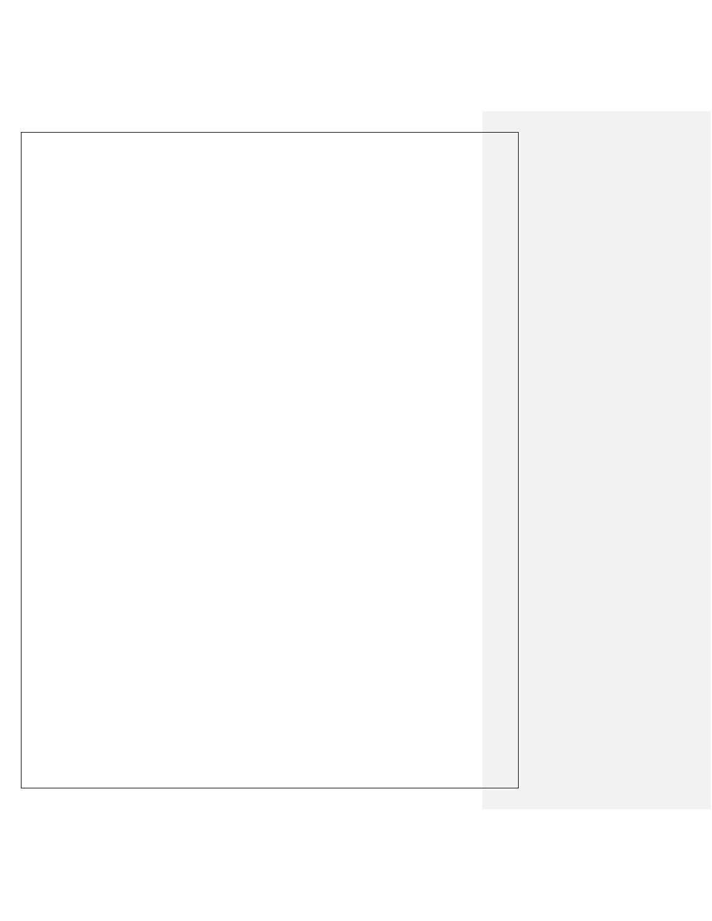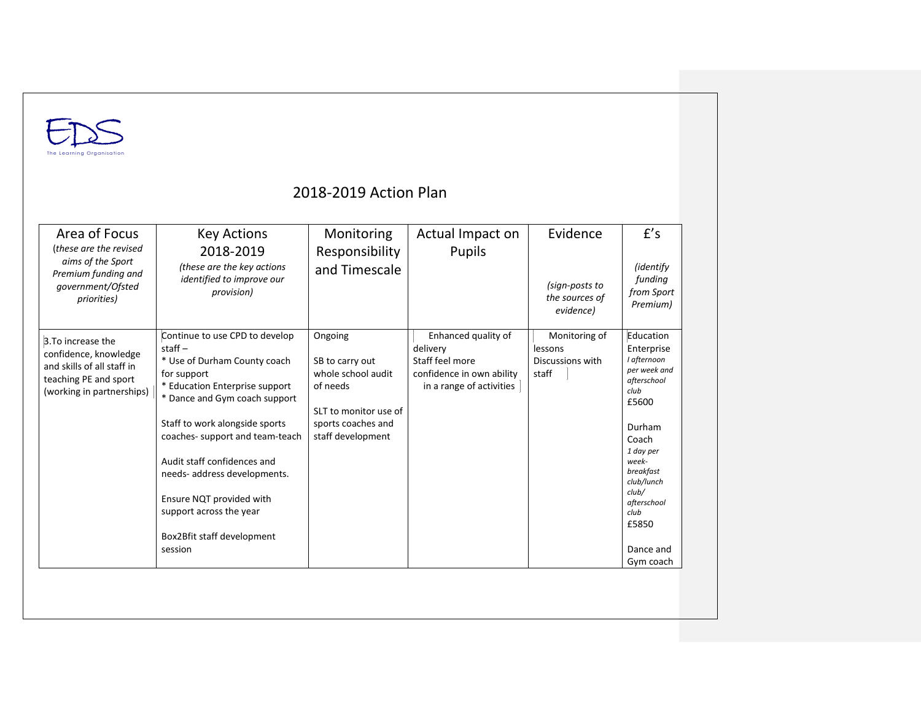

# 2018-2019 Action Plan

| 2018-2019<br>(these are the key actions<br>identified to improve our<br>provision)<br>Continue to use CPD to develop                                                                                                                                                                                                                                          | Responsibility<br>and Timescale                                                                                                  | Pupils                                                                                                      | (sign-posts to<br>the sources of<br>evidence)         | <i>(identify</i><br>funding<br>from Sport<br>Premium)                                                                                                                                                                         |
|---------------------------------------------------------------------------------------------------------------------------------------------------------------------------------------------------------------------------------------------------------------------------------------------------------------------------------------------------------------|----------------------------------------------------------------------------------------------------------------------------------|-------------------------------------------------------------------------------------------------------------|-------------------------------------------------------|-------------------------------------------------------------------------------------------------------------------------------------------------------------------------------------------------------------------------------|
|                                                                                                                                                                                                                                                                                                                                                               |                                                                                                                                  |                                                                                                             |                                                       |                                                                                                                                                                                                                               |
| $stat -$<br>* Use of Durham County coach<br>for support<br>* Education Enterprise support<br>* Dance and Gym coach support<br>Staff to work alongside sports<br>coaches-support and team-teach<br>Audit staff confidences and<br>needs- address developments.<br>Ensure NQT provided with<br>support across the year<br>Box2Bfit staff development<br>session | Ongoing<br>SB to carry out<br>whole school audit<br>of needs<br>SLT to monitor use of<br>sports coaches and<br>staff development | Enhanced quality of<br>delivery<br>Staff feel more<br>confidence in own ability<br>in a range of activities | Monitoring of<br>lessons<br>Discussions with<br>staff | Education<br>Enterprise<br>I afternoon<br>per week and<br>afterschool<br>club<br>£5600<br>Durham<br>Coach<br>1 day per<br>week-<br>breakfast<br>club/lunch<br>club/<br>afterschool<br>club<br>£5850<br>Dance and<br>Gym coach |
|                                                                                                                                                                                                                                                                                                                                                               |                                                                                                                                  |                                                                                                             |                                                       |                                                                                                                                                                                                                               |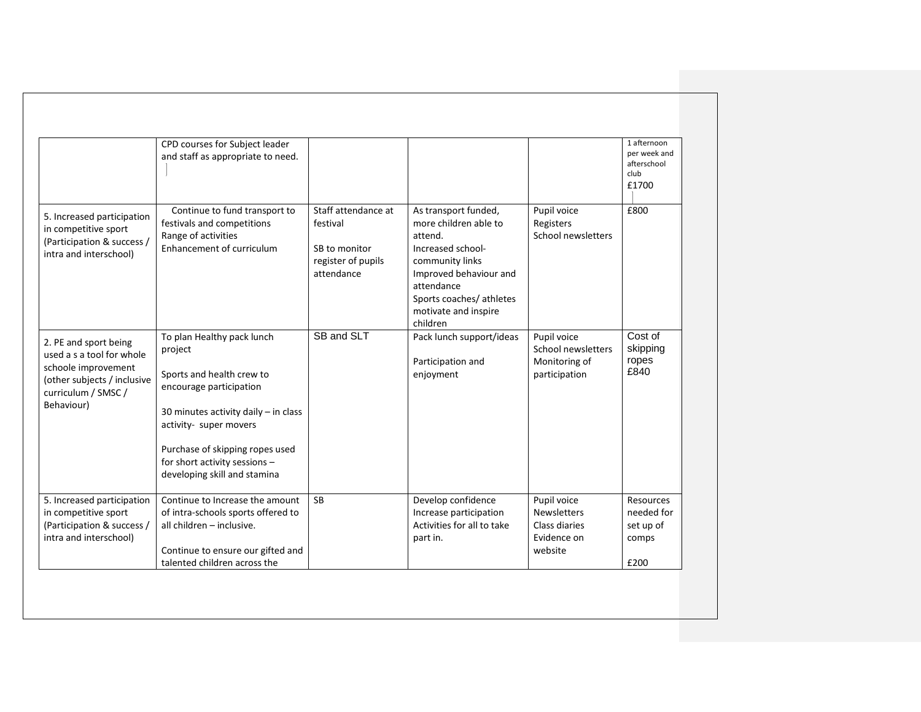|                                                                                                                                               | CPD courses for Subject leader<br>and staff as appropriate to need.                                                                                                                                                                                                 |                                                                                      |                                                                                                                                                                                                          |                                                                              | 1 afternoon<br>per week and<br>afterschool<br>club<br>£1700  |
|-----------------------------------------------------------------------------------------------------------------------------------------------|---------------------------------------------------------------------------------------------------------------------------------------------------------------------------------------------------------------------------------------------------------------------|--------------------------------------------------------------------------------------|----------------------------------------------------------------------------------------------------------------------------------------------------------------------------------------------------------|------------------------------------------------------------------------------|--------------------------------------------------------------|
| 5. Increased participation<br>in competitive sport<br>(Participation & success /<br>intra and interschool)                                    | Continue to fund transport to<br>festivals and competitions<br>Range of activities<br>Enhancement of curriculum                                                                                                                                                     | Staff attendance at<br>festival<br>SB to monitor<br>register of pupils<br>attendance | As transport funded,<br>more children able to<br>attend.<br>Increased school-<br>community links<br>Improved behaviour and<br>attendance<br>Sports coaches/ athletes<br>motivate and inspire<br>children | Pupil voice<br>Registers<br>School newsletters                               | £800                                                         |
| 2. PE and sport being<br>used a s a tool for whole<br>schoole improvement<br>(other subjects / inclusive<br>curriculum / SMSC /<br>Behaviour) | To plan Healthy pack lunch<br>project<br>Sports and health crew to<br>encourage participation<br>30 minutes activity daily - in class<br>activity- super movers<br>Purchase of skipping ropes used<br>for short activity sessions -<br>developing skill and stamina | SB and SLT                                                                           | Pack lunch support/ideas<br>Participation and<br>enjoyment                                                                                                                                               | Pupil voice<br>School newsletters<br>Monitoring of<br>participation          | Cost of<br>skipping<br>ropes<br>£840                         |
| 5. Increased participation<br>in competitive sport<br>(Participation & success /<br>intra and interschool)                                    | Continue to Increase the amount<br>of intra-schools sports offered to<br>all children - inclusive.<br>Continue to ensure our gifted and<br>talented children across the                                                                                             | <b>SB</b>                                                                            | Develop confidence<br>Increase participation<br>Activities for all to take<br>part in.                                                                                                                   | Pupil voice<br><b>Newsletters</b><br>Class diaries<br>Evidence on<br>website | <b>Resources</b><br>needed for<br>set up of<br>comps<br>£200 |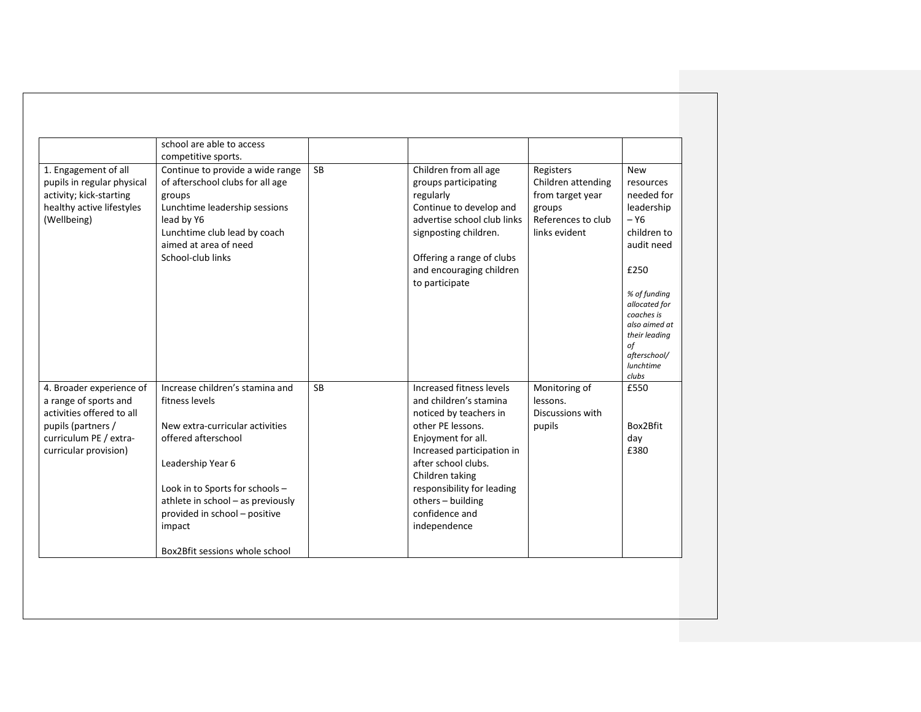|                                                                                                                                                         | school are able to access<br>competitive sports.                                                                                                                                                                                                                                      |           |                                                                                                                                                                                                                                                                                      |                                                                                                      |                                                                                                                                                                                                                                 |
|---------------------------------------------------------------------------------------------------------------------------------------------------------|---------------------------------------------------------------------------------------------------------------------------------------------------------------------------------------------------------------------------------------------------------------------------------------|-----------|--------------------------------------------------------------------------------------------------------------------------------------------------------------------------------------------------------------------------------------------------------------------------------------|------------------------------------------------------------------------------------------------------|---------------------------------------------------------------------------------------------------------------------------------------------------------------------------------------------------------------------------------|
| 1. Engagement of all<br>pupils in regular physical<br>activity; kick-starting<br>healthy active lifestyles<br>(Wellbeing)                               | Continue to provide a wide range<br>of afterschool clubs for all age<br>groups<br>Lunchtime leadership sessions<br>lead by Y6<br>Lunchtime club lead by coach<br>aimed at area of need<br>School-club links                                                                           | <b>SB</b> | Children from all age<br>groups participating<br>regularly<br>Continue to develop and<br>advertise school club links<br>signposting children.<br>Offering a range of clubs<br>and encouraging children<br>to participate                                                             | Registers<br>Children attending<br>from target year<br>groups<br>References to club<br>links evident | <b>New</b><br>resources<br>needed for<br>leadership<br>$- Y6$<br>children to<br>audit need<br>£250<br>% of funding<br>allocated for<br>coaches is<br>also aimed at<br>their leading<br>оf<br>afterschool/<br>lunchtime<br>clubs |
| 4. Broader experience of<br>a range of sports and<br>activities offered to all<br>pupils (partners /<br>curriculum PE / extra-<br>curricular provision) | Increase children's stamina and<br>fitness levels<br>New extra-curricular activities<br>offered afterschool<br>Leadership Year 6<br>Look in to Sports for schools -<br>athlete in school - as previously<br>provided in school - positive<br>impact<br>Box2Bfit sessions whole school | <b>SB</b> | Increased fitness levels<br>and children's stamina<br>noticed by teachers in<br>other PE lessons.<br>Enjoyment for all.<br>Increased participation in<br>after school clubs.<br>Children taking<br>responsibility for leading<br>others - building<br>confidence and<br>independence | Monitoring of<br>lessons.<br>Discussions with<br>pupils                                              | £550<br>Box2 Bfit<br>day<br>£380                                                                                                                                                                                                |